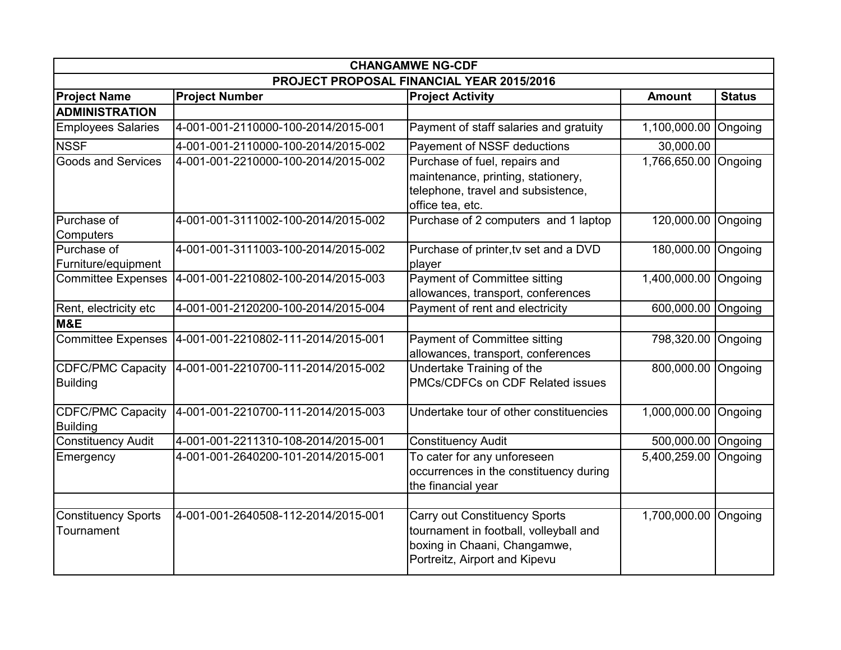| <b>CHANGAMWE NG-CDF</b>                     |                                     |                                                                                                                                          |                      |                 |  |
|---------------------------------------------|-------------------------------------|------------------------------------------------------------------------------------------------------------------------------------------|----------------------|-----------------|--|
| PROJECT PROPOSAL FINANCIAL YEAR 2015/2016   |                                     |                                                                                                                                          |                      |                 |  |
| <b>Project Name</b>                         | <b>Project Number</b>               | <b>Project Activity</b>                                                                                                                  | <b>Amount</b>        | <b>Status</b>   |  |
| <b>ADMINISTRATION</b>                       |                                     |                                                                                                                                          |                      |                 |  |
| <b>Employees Salaries</b>                   | 4-001-001-2110000-100-2014/2015-001 | Payment of staff salaries and gratuity                                                                                                   | 1,100,000.00         | Ongoing         |  |
| <b>NSSF</b>                                 | 4-001-001-2110000-100-2014/2015-002 | Payement of NSSF deductions                                                                                                              | 30,000.00            |                 |  |
| <b>Goods and Services</b>                   | 4-001-001-2210000-100-2014/2015-002 | Purchase of fuel, repairs and<br>maintenance, printing, stationery,<br>telephone, travel and subsistence,<br>office tea, etc.            | 1,766,650.00         | <b>Tongoing</b> |  |
| Purchase of                                 | 4-001-001-3111002-100-2014/2015-002 | Purchase of 2 computers and 1 laptop                                                                                                     | 120,000.00           | Ongoing         |  |
| Computers                                   |                                     |                                                                                                                                          |                      |                 |  |
| Purchase of<br>Furniture/equipment          | 4-001-001-3111003-100-2014/2015-002 | Purchase of printer, tv set and a DVD<br>player                                                                                          | 180,000.00           | Ongoing         |  |
| <b>Committee Expenses</b>                   | 4-001-001-2210802-100-2014/2015-003 | Payment of Committee sitting<br>allowances, transport, conferences                                                                       | 1,400,000.00         | Ongoing         |  |
| Rent, electricity etc                       | 4-001-001-2120200-100-2014/2015-004 | Payment of rent and electricity                                                                                                          | 600,000.00           | Ongoing         |  |
| M&E                                         |                                     |                                                                                                                                          |                      |                 |  |
| <b>Committee Expenses</b>                   | 4-001-001-2210802-111-2014/2015-001 | Payment of Committee sitting<br>allowances, transport, conferences                                                                       | 798,320.00           | Ongoing         |  |
| <b>CDFC/PMC Capacity</b><br><b>Building</b> | 4-001-001-2210700-111-2014/2015-002 | Undertake Training of the<br>PMCs/CDFCs on CDF Related issues                                                                            | 800,000.00           | Ongoing         |  |
| <b>CDFC/PMC Capacity</b><br><b>Building</b> | 4-001-001-2210700-111-2014/2015-003 | Undertake tour of other constituencies                                                                                                   | 1,000,000.00         | Ongoing         |  |
| <b>Constituency Audit</b>                   | 4-001-001-2211310-108-2014/2015-001 | <b>Constituency Audit</b>                                                                                                                | 500,000.00           | Ongoing         |  |
| Emergency                                   | 4-001-001-2640200-101-2014/2015-001 | To cater for any unforeseen<br>occurrences in the constituency during<br>the financial year                                              | 5,400,259.00         | Ongoing         |  |
|                                             |                                     |                                                                                                                                          |                      |                 |  |
| <b>Constituency Sports</b><br>Tournament    | 4-001-001-2640508-112-2014/2015-001 | Carry out Constituency Sports<br>tournament in football, volleyball and<br>boxing in Chaani, Changamwe,<br>Portreitz, Airport and Kipevu | 1,700,000.00 Ongoing |                 |  |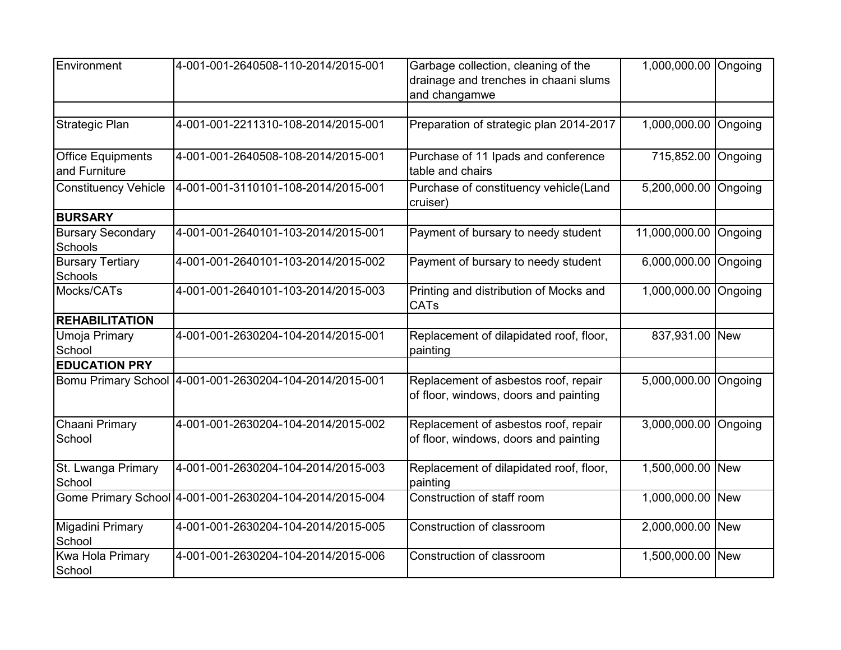| Environment                                | 4-001-001-2640508-110-2014/2015-001                     | Garbage collection, cleaning of the<br>drainage and trenches in chaani slums<br>and changamwe | 1,000,000.00 Ongoing |            |
|--------------------------------------------|---------------------------------------------------------|-----------------------------------------------------------------------------------------------|----------------------|------------|
| <b>Strategic Plan</b>                      | 4-001-001-2211310-108-2014/2015-001                     | Preparation of strategic plan 2014-2017                                                       | 1,000,000.00         | Ongoing    |
| <b>Office Equipments</b><br>and Furniture  | 4-001-001-2640508-108-2014/2015-001                     | Purchase of 11 Ipads and conference<br>table and chairs                                       | 715,852.00           | Ongoing    |
| <b>Constituency Vehicle</b>                | 4-001-001-3110101-108-2014/2015-001                     | Purchase of constituency vehicle(Land<br>cruiser)                                             | 5,200,000.00         | Ongoing    |
| <b>BURSARY</b>                             |                                                         |                                                                                               |                      |            |
| <b>Bursary Secondary</b><br><b>Schools</b> | 4-001-001-2640101-103-2014/2015-001                     | Payment of bursary to needy student                                                           | 11,000,000.00        | Ongoing    |
| <b>Bursary Tertiary</b><br>Schools         | 4-001-001-2640101-103-2014/2015-002                     | Payment of bursary to needy student                                                           | 6,000,000.00         | Ongoing    |
| Mocks/CATs                                 | 4-001-001-2640101-103-2014/2015-003                     | Printing and distribution of Mocks and<br><b>CATs</b>                                         | 1,000,000.00         | Ongoing    |
| <b>REHABILITATION</b>                      |                                                         |                                                                                               |                      |            |
| Umoja Primary<br>School                    | 4-001-001-2630204-104-2014/2015-001                     | Replacement of dilapidated roof, floor,<br>painting                                           | 837,931.00 New       |            |
| <b>EDUCATION PRY</b>                       |                                                         |                                                                                               |                      |            |
|                                            | Bomu Primary School 4-001-001-2630204-104-2014/2015-001 | Replacement of asbestos roof, repair<br>of floor, windows, doors and painting                 | 5,000,000.00         | Ongoing    |
| Chaani Primary<br>School                   | 4-001-001-2630204-104-2014/2015-002                     | Replacement of asbestos roof, repair<br>of floor, windows, doors and painting                 | 3,000,000.00         | Ongoing    |
| St. Lwanga Primary<br>School               | 4-001-001-2630204-104-2014/2015-003                     | Replacement of dilapidated roof, floor,<br>painting                                           | 1,500,000.00 New     |            |
|                                            | Gome Primary School 4-001-001-2630204-104-2014/2015-004 | Construction of staff room                                                                    | 1,000,000.00         | <b>New</b> |
| Migadini Primary<br>School                 | 4-001-001-2630204-104-2014/2015-005                     | Construction of classroom                                                                     | 2,000,000.00 New     |            |
| Kwa Hola Primary<br>School                 | 4-001-001-2630204-104-2014/2015-006                     | Construction of classroom                                                                     | 1,500,000.00         | <b>New</b> |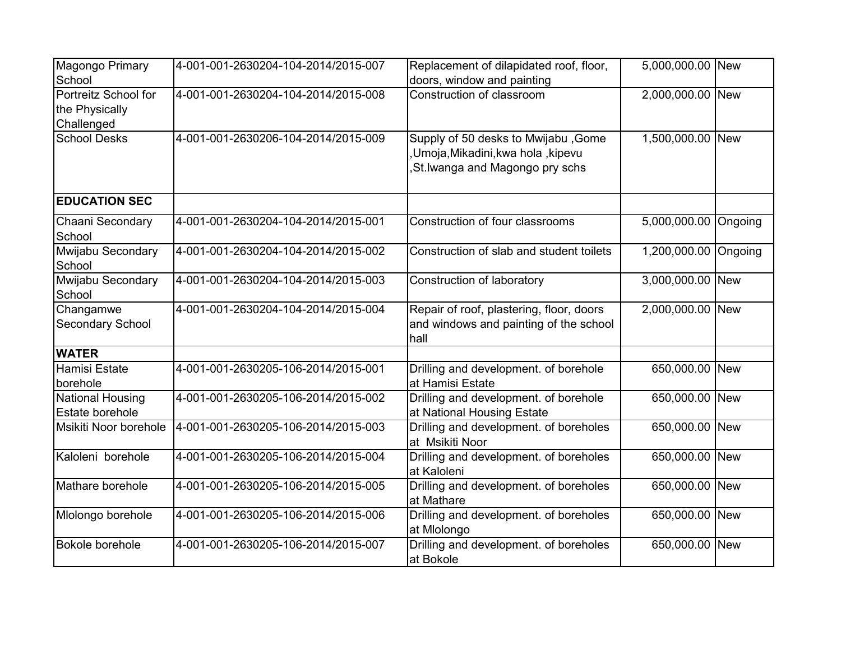| Magongo Primary<br>School                            | 4-001-001-2630204-104-2014/2015-007 | Replacement of dilapidated roof, floor,<br>doors, window and painting                                      | 5,000,000.00 New |            |
|------------------------------------------------------|-------------------------------------|------------------------------------------------------------------------------------------------------------|------------------|------------|
| Portreitz School for<br>the Physically<br>Challenged | 4-001-001-2630204-104-2014/2015-008 | Construction of classroom                                                                                  | 2,000,000.00 New |            |
| <b>School Desks</b>                                  | 4-001-001-2630206-104-2014/2015-009 | Supply of 50 desks to Mwijabu, Gome<br>,Umoja,Mikadini,kwa hola ,kipevu<br>St. Iwanga and Magongo pry schs | 1,500,000.00 New |            |
| <b>EDUCATION SEC</b>                                 |                                     |                                                                                                            |                  |            |
| Chaani Secondary<br>School                           | 4-001-001-2630204-104-2014/2015-001 | Construction of four classrooms                                                                            | 5,000,000.00     | Ongoing    |
| Mwijabu Secondary<br>School                          | 4-001-001-2630204-104-2014/2015-002 | Construction of slab and student toilets                                                                   | 1,200,000.00     | Ongoing    |
| Mwijabu Secondary<br>School                          | 4-001-001-2630204-104-2014/2015-003 | Construction of laboratory                                                                                 | 3,000,000.00     | <b>New</b> |
| Changamwe<br>Secondary School                        | 4-001-001-2630204-104-2014/2015-004 | Repair of roof, plastering, floor, doors<br>and windows and painting of the school<br>hall                 | 2,000,000.00 New |            |
| <b>WATER</b>                                         |                                     |                                                                                                            |                  |            |
| Hamisi Estate<br>borehole                            | 4-001-001-2630205-106-2014/2015-001 | Drilling and development. of borehole<br>at Hamisi Estate                                                  | 650,000.00       | <b>New</b> |
| <b>National Housing</b><br>Estate borehole           | 4-001-001-2630205-106-2014/2015-002 | Drilling and development. of borehole<br>at National Housing Estate                                        | 650,000.00 New   |            |
| Msikiti Noor borehole                                | 4-001-001-2630205-106-2014/2015-003 | Drilling and development. of boreholes<br>at Msikiti Noor                                                  | 650,000.00       | <b>New</b> |
| Kaloleni borehole                                    | 4-001-001-2630205-106-2014/2015-004 | Drilling and development. of boreholes<br>at Kaloleni                                                      | 650,000.00 New   |            |
| Mathare borehole                                     | 4-001-001-2630205-106-2014/2015-005 | Drilling and development. of boreholes<br>at Mathare                                                       | 650,000.00 New   |            |
| Mlolongo borehole                                    | 4-001-001-2630205-106-2014/2015-006 | Drilling and development. of boreholes<br>at Mlolongo                                                      | 650,000.00 New   |            |
| Bokole borehole                                      | 4-001-001-2630205-106-2014/2015-007 | Drilling and development. of boreholes<br>at Bokole                                                        | 650,000.00 New   |            |